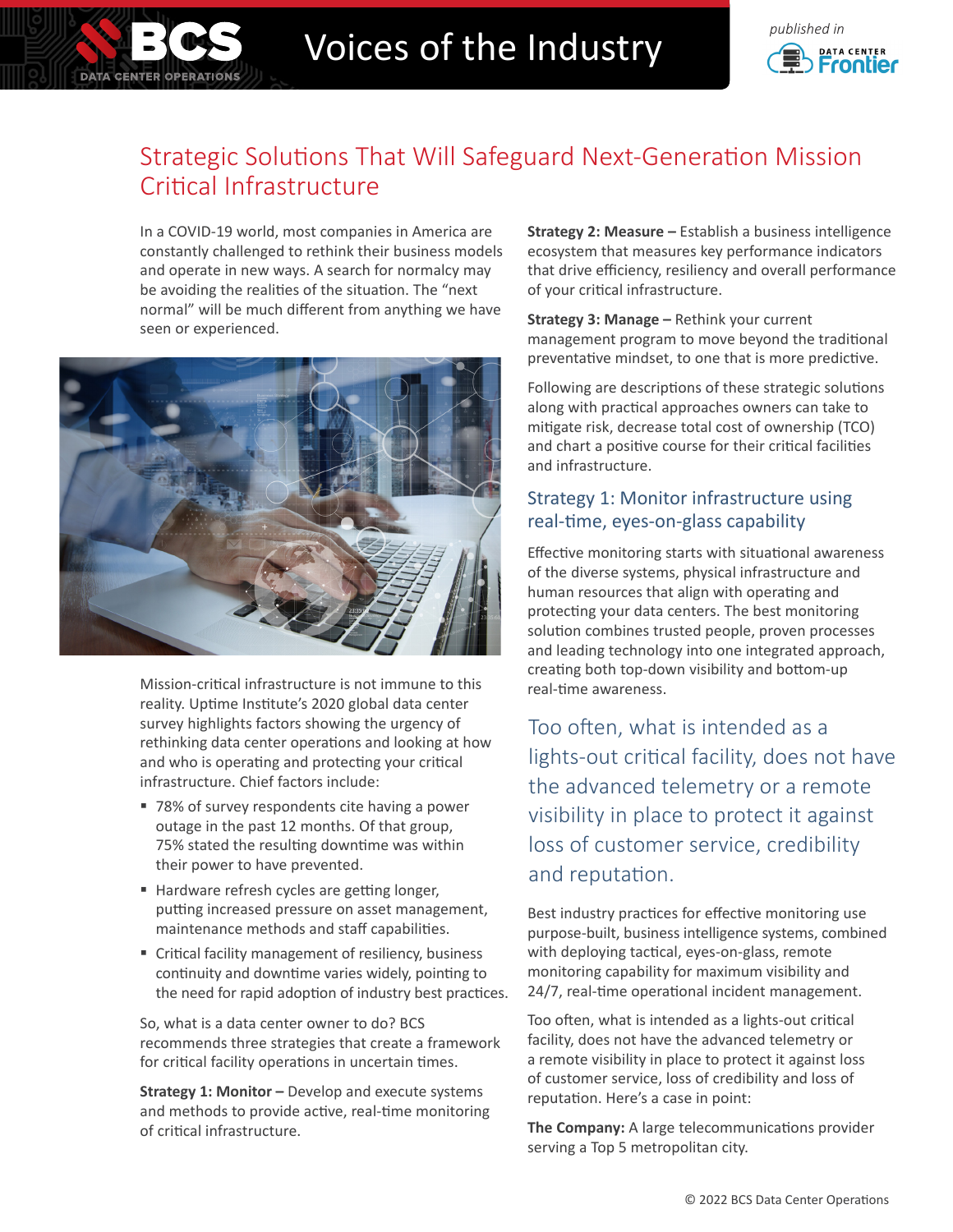# Voices of the Industry **Construction**



## Strategic Solutions That Will Safeguard Next-Generation Mission Critical Infrastructure

In a COVID-19 world, most companies in America are constantly challenged to rethink their business models and operate in new ways. A search for normalcy may be avoiding the realities of the situation. The "next normal" will be much different from anything we have seen or experienced.

**DATA CENTER OPERATIONS** 



Mission-critical infrastructure is not immune to this reality. Uptime Institute's 2020 global data center survey highlights factors showing the urgency of rethinking data center operations and looking at how and who is operating and protecting your critical infrastructure. Chief factors include:

- 78% of survey respondents cite having a power outage in the past 12 months. Of that group, 75% stated the resulting downtime was within their power to have prevented.
- Hardware refresh cycles are getting longer, putting increased pressure on asset management, maintenance methods and staff capabilities.
- Critical facility management of resiliency, business continuity and downtime varies widely, pointing to the need for rapid adoption of industry best practices.

So, what is a data center owner to do? BCS recommends three strategies that create a framework for critical facility operations in uncertain times.

**Strategy 1: Monitor –** Develop and execute systems and methods to provide active, real-time monitoring of critical infrastructure.

**Strategy 2: Measure –** Establish a business intelligence ecosystem that measures key performance indicators that drive efficiency, resiliency and overall performance of your critical infrastructure.

**Strategy 3: Manage –** Rethink your current management program to move beyond the traditional preventative mindset, to one that is more predictive.

Following are descriptions of these strategic solutions along with practical approaches owners can take to mitigate risk, decrease total cost of ownership (TCO) and chart a positive course for their critical facilities and infrastructure.

### Strategy 1: Monitor infrastructure using real-time, eyes-on-glass capability

Effective monitoring starts with situational awareness of the diverse systems, physical infrastructure and human resources that align with operating and protecting your data centers. The best monitoring solution combines trusted people, proven processes and leading technology into one integrated approach, creating both top-down visibility and bottom-up real-time awareness.

Too often, what is intended as a lights-out critical facility, does not have the advanced telemetry or a remote visibility in place to protect it against loss of customer service, credibility and reputation.

Best industry practices for effective monitoring use purpose-built, business intelligence systems, combined with deploying tactical, eyes-on-glass, remote monitoring capability for maximum visibility and 24/7, real-time operational incident management.

Too often, what is intended as a lights-out critical facility, does not have the advanced telemetry or a remote visibility in place to protect it against loss of customer service, loss of credibility and loss of reputation. Here's a case in point:

**The Company:** A large telecommunications provider serving a Top 5 metropolitan city.